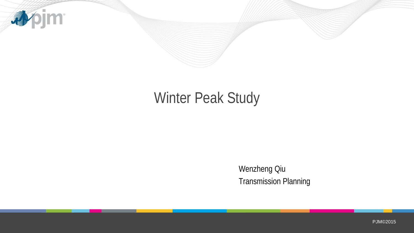

# Winter Peak Study

Wenzheng Qiu Transmission Planning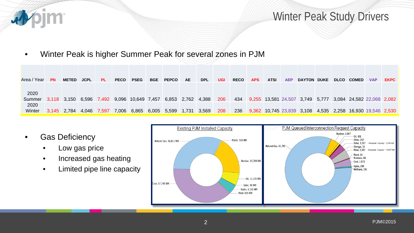

### Winter Peak Study Drivers

• Winter Peak is higher Summer Peak for several zones in PJM

| Area / Year    | <b>PN</b> | <b>METED</b>            | <b>JCPL</b> | <b>PL</b>   | <b>PECO</b> | <b>PSEG</b>        | <b>BGE</b> | <b>PEPCO</b>      | AE.   | <b>DPL</b> | <b>UGI</b> | <b>RECO</b> | <b>APS</b> | <b>ATSI</b> | <b>AEP</b> | <b>DAYTON</b>                                             | <b>DUKE</b> | <b>DLCO</b> | <b>COMED</b>                    | <b>VAP</b> | <b>EKPC</b> |
|----------------|-----------|-------------------------|-------------|-------------|-------------|--------------------|------------|-------------------|-------|------------|------------|-------------|------------|-------------|------------|-----------------------------------------------------------|-------------|-------------|---------------------------------|------------|-------------|
| 2020<br>Summer |           | 3,118 3,150 6,596 7,492 |             |             |             | 9,096 10,649 7,457 |            | 6,853 2,762 4,388 |       |            | 206        | 434         |            |             |            | 9,255 13,581 24,507 3,749 5,777 3,084 24,582 22,068 2,082 |             |             |                                 |            |             |
| 2020<br>Winter |           | 3,145 2,784             |             | 4,046 7,597 | 7,006       | 6,865 6,005 5,599  |            |                   | 1,731 | 3,569      | 208        | 236         |            |             |            | 9,362 10,745 23,839 3,108                                 |             |             | 4,535 2,258 16,930 19,546 2,530 |            |             |

- Gas Deficiency
	- Low gas price
	- Increased gas heating
	- Limited pipe line capacity

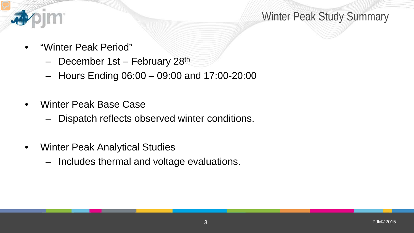

## Winter Peak Study Summary

- "Winter Peak Period"
	- December 1st February 28<sup>th</sup>
	- Hours Ending 06:00 09:00 and 17:00-20:00
- Winter Peak Base Case
	- Dispatch reflects observed winter conditions.
- Winter Peak Analytical Studies
	- Includes thermal and voltage evaluations.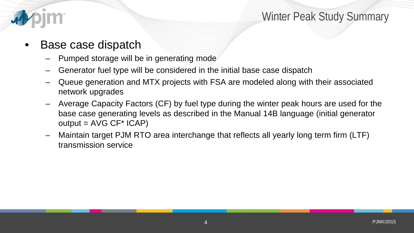

### Base case dispatch

- Pumped storage will be in generating mode
- Generator fuel type will be considered in the initial base case dispatch
- Queue generation and MTX projects with FSA are modeled along with their associated network upgrades
- Average Capacity Factors (CF) by fuel type during the winter peak hours are used for the base case generating levels as described in the Manual 14B language (initial generator  $output = AVG CF* ICAP)$
- Maintain target PJM RTO area interchange that reflects all yearly long term firm (LTF) transmission service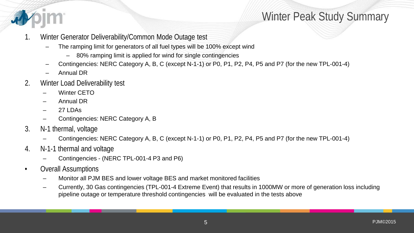

# Winter Peak Study Summary

- 1. Winter Generator Deliverability/Common Mode Outage test
	- The ramping limit for generators of all fuel types will be 100% except wind
		- 80% ramping limit is applied for wind for single contingencies
	- Contingencies: NERC Category A, B, C (except N-1-1) or P0, P1, P2, P4, P5 and P7 (for the new TPL-001-4)
	- Annual DR
- 2. Winter Load Deliverability test
	- Winter CETO
	- Annual DR
	- 27 LDAs
	- Contingencies: NERC Category A, B
- 3. N-1 thermal, voltage
	- Contingencies: NERC Category A, B, C (except N-1-1) or P0, P1, P2, P4, P5 and P7 (for the new TPL-001-4)
- 4. N-1-1 thermal and voltage
	- Contingencies (NERC TPL-001-4 P3 and P6)
- Overall Assumptions
	- Monitor all PJM BES and lower voltage BES and market monitored facilities
	- Currently, 30 Gas contingencies (TPL-001-4 Extreme Event) that results in 1000MW or more of generation loss including pipeline outage or temperature threshold contingencies will be evaluated in the tests above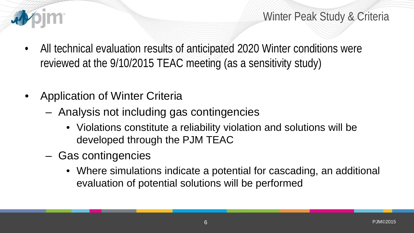

Winter Peak Study & Criteria

- All technical evaluation results of anticipated 2020 Winter conditions were reviewed at the 9/10/2015 TEAC meeting (as a sensitivity study)
- Application of Winter Criteria
	- Analysis not including gas contingencies
		- Violations constitute a reliability violation and solutions will be developed through the PJM TEAC
	- Gas contingencies
		- Where simulations indicate a potential for cascading, an additional evaluation of potential solutions will be performed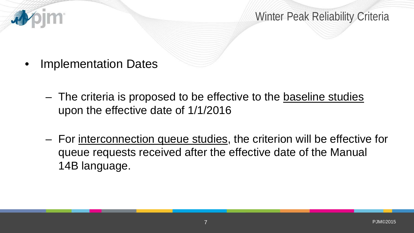

• Implementation Dates

看

- The criteria is proposed to be effective to the baseline studies upon the effective date of 1/1/2016
- For interconnection queue studies, the criterion will be effective for queue requests received after the effective date of the Manual 14B language.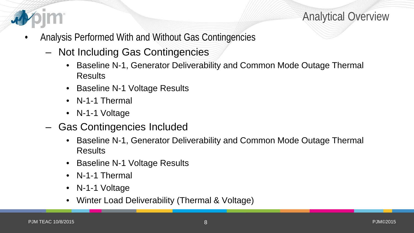

Analytical Overview

- Analysis Performed With and Without Gas Contingencies
	- Not Including Gas Contingencies
		- Baseline N-1, Generator Deliverability and Common Mode Outage Thermal **Results**
		- Baseline N-1 Voltage Results
		- N-1-1 Thermal
		- N-1-1 Voltage
	- Gas Contingencies Included
		- Baseline N-1, Generator Deliverability and Common Mode Outage Thermal Results
		- Baseline N-1 Voltage Results
		- N-1-1 Thermal
		- N-1-1 Voltage
		- Winter Load Deliverability (Thermal & Voltage)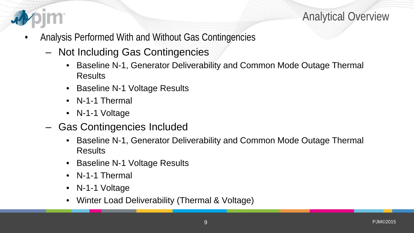

Analytical Overview

- Analysis Performed With and Without Gas Contingencies
	- Not Including Gas Contingencies
		- Baseline N-1, Generator Deliverability and Common Mode Outage Thermal **Results**
		- Baseline N-1 Voltage Results
		- N-1-1 Thermal
		- N-1-1 Voltage
	- Gas Contingencies Included
		- Baseline N-1, Generator Deliverability and Common Mode Outage Thermal Results
		- Baseline N-1 Voltage Results
		- N-1-1 Thermal
		- N-1-1 Voltage
		- Winter Load Deliverability (Thermal & Voltage)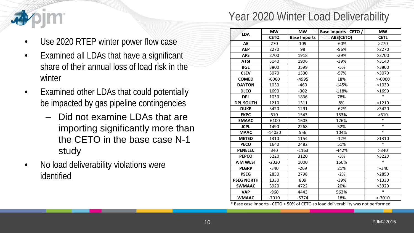

# Year 2020 Winter Load Deliverability

- Use 2020 RTEP winter power flow case
- Examined all LDAs that have a significant share of their annual loss of load risk in the winter
- Examined other LDAs that could potentially be impacted by gas pipeline contingencies
	- Did not examine LDAs that are importing significantly more than the CETO in the base case N-1 study
- No load deliverability violations were identified

|                   | <b>MW</b>   | <b>MW</b>           | Base Imports - CETO / | <b>MW</b>   |  |  |
|-------------------|-------------|---------------------|-----------------------|-------------|--|--|
| <b>LDA</b>        | <b>CETO</b> | <b>Base Imports</b> | <b>ABS(CETO)</b>      | <b>CETL</b> |  |  |
| <b>AE</b>         | 270         | 109                 | $-60%$                | >270        |  |  |
| <b>AEP</b>        | 2270        | 98                  | $-96%$                | >2270       |  |  |
| <b>APS</b>        | 2700        | 1918                | $-29%$                | >2700       |  |  |
| <b>ATSI</b>       | 3140        | 1906                | $-39%$                | >3140       |  |  |
| <b>BGE</b>        | 3800        | 3599                | -5%                   | >3800       |  |  |
| <b>CLEV</b>       | 3070        | 1330                | $-57%$                | >3070       |  |  |
| <b>COMED</b>      | $-6060$     | $-4995$             | 18%                   | $> -6060$   |  |  |
| <b>DAYTON</b>     | 1030        | $-460$              | $-145%$               | >1030       |  |  |
| <b>DLCO</b>       | 1690        | $-302$              | $-118%$               | >1690       |  |  |
| <b>DPL</b>        | 1030        | 1836                | 78%                   | $\ast$      |  |  |
| <b>DPL SOUTH</b>  | 1210        | 1311                | 8%                    | >1210       |  |  |
| <b>DUKE</b>       | 3420        | 1291                | $-62%$                | >3420       |  |  |
| <b>EKPC</b>       | 610         | 1543                | 153%                  | >610        |  |  |
| <b>EMAAC</b>      | $-6100$     | 1603                | 126%                  | $\ast$      |  |  |
| <b>JCPL</b>       | 1490        | 2268                | 52%                   | $\ast$      |  |  |
| <b>MAAC</b>       | $-14030$    | 556                 | 104%                  | $\ast$      |  |  |
| <b>METED</b>      | 1310        | 1154                | $-12%$                | >1310       |  |  |
| <b>PECO</b>       | 1640        | 2482                | 51%                   | $\ast$      |  |  |
| <b>PENELEC</b>    | 340         | $-1163$             | $-442%$               | >340        |  |  |
| <b>PEPCO</b>      | 3220        | 3120                | $-3%$                 | >3220       |  |  |
| <b>PJM WEST</b>   | $-2020$     | 1000                | 150%                  | $\ast$      |  |  |
| <b>PLGRP</b>      | $-340$      | $-269$              | 21%                   | $> -340$    |  |  |
| <b>PSEG</b>       | 2850        | 2798                | $-2%$                 | >2850       |  |  |
| <b>PSEG NORTH</b> | 1330        | 809                 | $-39%$                | >1330       |  |  |
| <b>SWMAAC</b>     | 3920        | 4722                | 20%                   | >3920       |  |  |
| <b>VAP</b>        | $-960$      | 4443                | 563%                  | $\ast$      |  |  |
| <b>WMAAC</b>      | $-7010$     | $-5774$             | 18%                   | $> -7010$   |  |  |

\* Base case imports - CETO > 50% of CETO so load deliverability was not performed